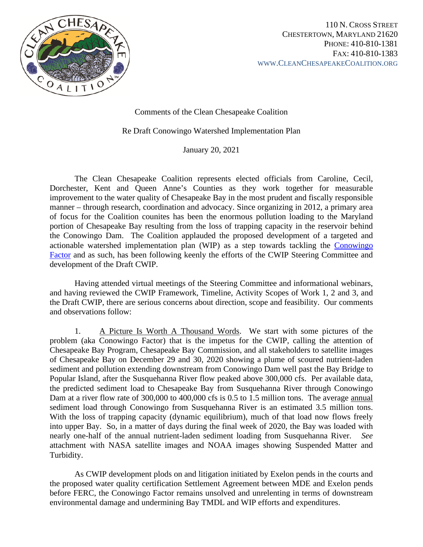

Comments of the Clean Chesapeake Coalition

Re Draft Conowingo Watershed Implementation Plan

January 20, 2021

The Clean Chesapeake Coalition represents elected officials from Caroline, Cecil, Dorchester, Kent and Queen Anne's Counties as they work together for measurable improvement to the water quality of Chesapeake Bay in the most prudent and fiscally responsible manner – through research, coordination and advocacy. Since organizing in 2012, a primary area of focus for the Coalition counites has been the enormous pollution loading to the Maryland portion of Chesapeake Bay resulting from the loss of trapping capacity in the reservoir behind the Conowingo Dam. The Coalition applauded the proposed development of a targeted and actionable watershed implementation plan (WIP) as a step towards tackling the [Conowingo](https://www.youtube.com/watch?v=LvK86Ripmc4)  [Factor](https://www.youtube.com/watch?v=LvK86Ripmc4) and as such, has been following keenly the efforts of the CWIP Steering Committee and development of the Draft CWIP.

Having attended virtual meetings of the Steering Committee and informational webinars, and having reviewed the CWIP Framework, Timeline, Activity Scopes of Work 1, 2 and 3, and the Draft CWIP, there are serious concerns about direction, scope and feasibility. Our comments and observations follow:

1. A Picture Is Worth A Thousand Words. We start with some pictures of the problem (aka Conowingo Factor) that is the impetus for the CWIP, calling the attention of Chesapeake Bay Program, Chesapeake Bay Commission, and all stakeholders to satellite images of Chesapeake Bay on December 29 and 30, 2020 showing a plume of scoured nutrient-laden sediment and pollution extending downstream from Conowingo Dam well past the Bay Bridge to Popular Island, after the Susquehanna River flow peaked above 300,000 cfs. Per available data, the predicted sediment load to Chesapeake Bay from Susquehanna River through Conowingo Dam at a river flow rate of 300,000 to 400,000 cfs is 0.5 to 1.5 million tons. The average annual sediment load through Conowingo from Susquehanna River is an estimated 3.5 million tons. With the loss of trapping capacity (dynamic equilibrium), much of that load now flows freely into upper Bay. So, in a matter of days during the final week of 2020, the Bay was loaded with nearly one-half of the annual nutrient-laden sediment loading from Susquehanna River. *See* attachment with NASA satellite images and NOAA images showing Suspended Matter and Turbidity.

As CWIP development plods on and litigation initiated by Exelon pends in the courts and the proposed water quality certification Settlement Agreement between MDE and Exelon pends before FERC, the Conowingo Factor remains unsolved and unrelenting in terms of downstream environmental damage and undermining Bay TMDL and WIP efforts and expenditures.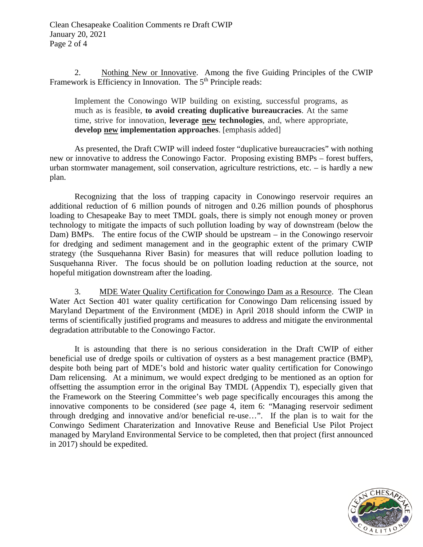2. Nothing New or Innovative. Among the five Guiding Principles of the CWIP Framework is Efficiency in Innovation. The 5<sup>th</sup> Principle reads:

Implement the Conowingo WIP building on existing, successful programs, as much as is feasible, **to avoid creating duplicative bureaucracies**. At the same time, strive for innovation, **leverage new technologies**, and, where appropriate, **develop new implementation approaches**. [emphasis added]

As presented, the Draft CWIP will indeed foster "duplicative bureaucracies" with nothing new or innovative to address the Conowingo Factor. Proposing existing BMPs – forest buffers, urban stormwater management, soil conservation, agriculture restrictions, etc. – is hardly a new plan.

Recognizing that the loss of trapping capacity in Conowingo reservoir requires an additional reduction of 6 million pounds of nitrogen and 0.26 million pounds of phosphorus loading to Chesapeake Bay to meet TMDL goals, there is simply not enough money or proven technology to mitigate the impacts of such pollution loading by way of downstream (below the Dam) BMPs. The entire focus of the CWIP should be upstream – in the Conowingo reservoir for dredging and sediment management and in the geographic extent of the primary CWIP strategy (the Susquehanna River Basin) for measures that will reduce pollution loading to Susquehanna River. The focus should be on pollution loading reduction at the source, not hopeful mitigation downstream after the loading.

3. MDE Water Quality Certification for Conowingo Dam as a Resource. The Clean Water Act Section 401 water quality certification for Conowingo Dam relicensing issued by Maryland Department of the Environment (MDE) in April 2018 should inform the CWIP in terms of scientifically justified programs and measures to address and mitigate the environmental degradation attributable to the Conowingo Factor.

It is astounding that there is no serious consideration in the Draft CWIP of either beneficial use of dredge spoils or cultivation of oysters as a best management practice (BMP), despite both being part of MDE's bold and historic water quality certification for Conowingo Dam relicensing. At a minimum, we would expect dredging to be mentioned as an option for offsetting the assumption error in the original Bay TMDL (Appendix T), especially given that the Framework on the Steering Committee's web page specifically encourages this among the innovative components to be considered (*see* page 4, item 6: "Managing reservoir sediment through dredging and innovative and/or beneficial re-use…". If the plan is to wait for the Conwingo Sediment Charaterization and Innovative Reuse and Beneficial Use Pilot Project managed by Maryland Environmental Service to be completed, then that project (first announced in 2017) should be expedited.

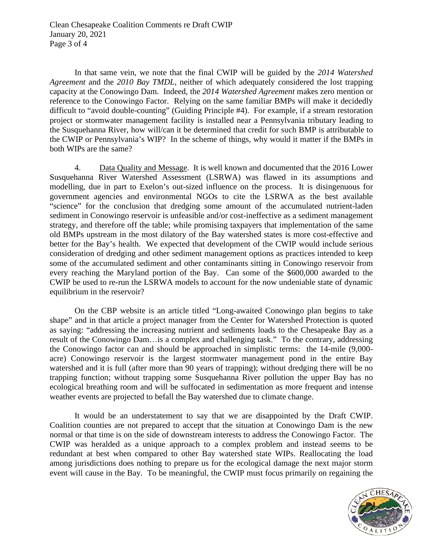In that same vein, we note that the final CWIP will be guided by the *2014 Watershed Agreement* and the *2010 Bay TMDL*, neither of which adequately considered the lost trapping capacity at the Conowingo Dam. Indeed, the *2014 Watershed Agreement* makes zero mention or reference to the Conowingo Factor. Relying on the same familiar BMPs will make it decidedly difficult to "avoid double-counting" (Guiding Principle #4). For example, if a stream restoration project or stormwater management facility is installed near a Pennsylvania tributary leading to the Susquehanna River, how will/can it be determined that credit for such BMP is attributable to the CWIP or Pennsylvania's WIP? In the scheme of things, why would it matter if the BMPs in both WIPs are the same?

4. Data Quality and Message. It is well known and documented that the 2016 Lower Susquehanna River Watershed Assessment (LSRWA) was flawed in its assumptions and modelling, due in part to Exelon's out-sized influence on the process. It is disingenuous for government agencies and environmental NGOs to cite the LSRWA as the best available "science" for the conclusion that dredging some amount of the accumulated nutrient-laden sediment in Conowingo reservoir is unfeasible and/or cost-ineffective as a sediment management strategy, and therefore off the table; while promising taxpayers that implementation of the same old BMPs upstream in the most dilatory of the Bay watershed states is more cost-effective and better for the Bay's health. We expected that development of the CWIP would include serious consideration of dredging and other sediment management options as practices intended to keep some of the accumulated sediment and other contaminants sitting in Conowingo reservoir from every reaching the Maryland portion of the Bay. Can some of the \$600,000 awarded to the CWIP be used to re-run the LSRWA models to account for the now undeniable state of dynamic equilibrium in the reservoir?

On the CBP website is an article titled "Long-awaited Conowingo plan begins to take shape" and in that article a project manager from the Center for Watershed Protection is quoted as saying: "addressing the increasing nutrient and sediments loads to the Chesapeake Bay as a result of the Conowingo Dam…is a complex and challenging task." To the contrary, addressing the Conowingo factor can and should be approached in simplistic terms: the 14-mile (9,000 acre) Conowingo reservoir is the largest stormwater management pond in the entire Bay watershed and it is full (after more than 90 years of trapping); without dredging there will be no trapping function; without trapping some Susquehanna River pollution the upper Bay has no ecological breathing room and will be suffocated in sedimentation as more frequent and intense weather events are projected to befall the Bay watershed due to climate change.

It would be an understatement to say that we are disappointed by the Draft CWIP. Coalition counties are not prepared to accept that the situation at Conowingo Dam is the new normal or that time is on the side of downstream interests to address the Conowingo Factor. The CWIP was heralded as a unique approach to a complex problem and instead seems to be redundant at best when compared to other Bay watershed state WIPs. Reallocating the load among jurisdictions does nothing to prepare us for the ecological damage the next major storm event will cause in the Bay. To be meaningful, the CWIP must focus primarily on regaining the